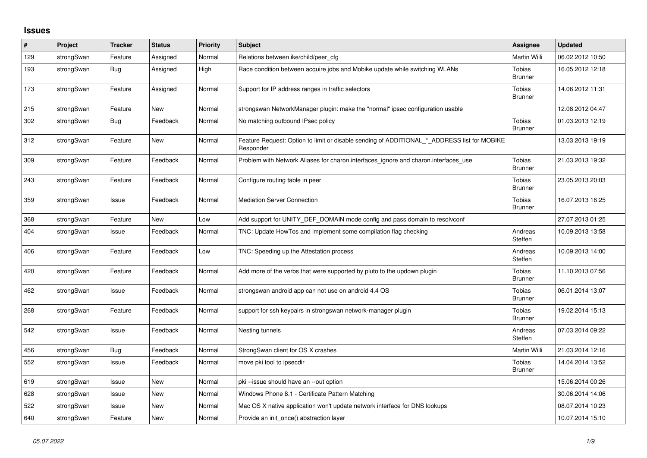## **Issues**

| $\#$ | Project    | <b>Tracker</b> | <b>Status</b> | <b>Priority</b> | <b>Subject</b>                                                                                           | Assignee                        | <b>Updated</b>   |
|------|------------|----------------|---------------|-----------------|----------------------------------------------------------------------------------------------------------|---------------------------------|------------------|
| 129  | strongSwan | Feature        | Assigned      | Normal          | Relations between ike/child/peer cfg                                                                     | Martin Willi                    | 06.02.2012 10:50 |
| 193  | strongSwan | Bug            | Assigned      | High            | Race condition between acquire jobs and Mobike update while switching WLANs                              | <b>Tobias</b><br><b>Brunner</b> | 16.05.2012 12:18 |
| 173  | strongSwan | Feature        | Assigned      | Normal          | Support for IP address ranges in traffic selectors                                                       | Tobias<br><b>Brunner</b>        | 14.06.2012 11:31 |
| 215  | strongSwan | Feature        | <b>New</b>    | Normal          | strongswan NetworkManager plugin: make the "normal" ipsec configuration usable                           |                                 | 12.08.2012 04:47 |
| 302  | strongSwan | Bug            | Feedback      | Normal          | No matching outbound IPsec policy                                                                        | Tobias<br><b>Brunner</b>        | 01.03.2013 12:19 |
| 312  | strongSwan | Feature        | <b>New</b>    | Normal          | Feature Request: Option to limit or disable sending of ADDITIONAL_*_ADDRESS list for MOBIKE<br>Responder |                                 | 13.03.2013 19:19 |
| 309  | strongSwan | Feature        | Feedback      | Normal          | Problem with Network Aliases for charon.interfaces_ignore and charon.interfaces_use                      | Tobias<br><b>Brunner</b>        | 21.03.2013 19:32 |
| 243  | strongSwan | Feature        | Feedback      | Normal          | Configure routing table in peer                                                                          | Tobias<br><b>Brunner</b>        | 23.05.2013 20:03 |
| 359  | strongSwan | Issue          | Feedback      | Normal          | <b>Mediation Server Connection</b>                                                                       | Tobias<br><b>Brunner</b>        | 16.07.2013 16:25 |
| 368  | strongSwan | Feature        | <b>New</b>    | Low             | Add support for UNITY_DEF_DOMAIN mode config and pass domain to resolvconf                               |                                 | 27.07.2013 01:25 |
| 404  | strongSwan | Issue          | Feedback      | Normal          | TNC: Update HowTos and implement some compilation flag checking                                          | Andreas<br>Steffen              | 10.09.2013 13:58 |
| 406  | strongSwan | Feature        | Feedback      | Low             | TNC: Speeding up the Attestation process                                                                 | Andreas<br>Steffen              | 10.09.2013 14:00 |
| 420  | strongSwan | Feature        | Feedback      | Normal          | Add more of the verbs that were supported by pluto to the updown plugin                                  | Tobias<br><b>Brunner</b>        | 11.10.2013 07:56 |
| 462  | strongSwan | Issue          | Feedback      | Normal          | strongswan android app can not use on android 4.4 OS                                                     | Tobias<br><b>Brunner</b>        | 06.01.2014 13:07 |
| 268  | strongSwan | Feature        | Feedback      | Normal          | support for ssh keypairs in strongswan network-manager plugin                                            | Tobias<br><b>Brunner</b>        | 19.02.2014 15:13 |
| 542  | strongSwan | Issue          | Feedback      | Normal          | Nesting tunnels                                                                                          | Andreas<br>Steffen              | 07.03.2014 09:22 |
| 456  | strongSwan | <b>Bug</b>     | Feedback      | Normal          | StrongSwan client for OS X crashes                                                                       | Martin Willi                    | 21.03.2014 12:16 |
| 552  | strongSwan | Issue          | Feedback      | Normal          | move pki tool to ipsecdir                                                                                | <b>Tobias</b><br><b>Brunner</b> | 14.04.2014 13:52 |
| 619  | strongSwan | Issue          | <b>New</b>    | Normal          | pki-issue should have an --out option                                                                    |                                 | 15.06.2014 00:26 |
| 628  | strongSwan | Issue          | <b>New</b>    | Normal          | Windows Phone 8.1 - Certificate Pattern Matching                                                         |                                 | 30.06.2014 14:06 |
| 522  | strongSwan | Issue          | New           | Normal          | Mac OS X native application won't update network interface for DNS lookups                               |                                 | 08.07.2014 10:23 |
| 640  | strongSwan | Feature        | <b>New</b>    | Normal          | Provide an init_once() abstraction layer                                                                 |                                 | 10.07.2014 15:10 |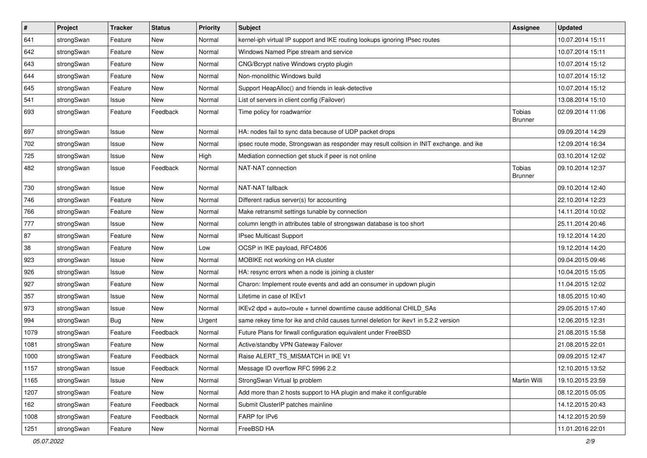| $\vert$ # | Project    | <b>Tracker</b> | <b>Status</b> | Priority | <b>Subject</b>                                                                          | <b>Assignee</b>                 | <b>Updated</b>   |
|-----------|------------|----------------|---------------|----------|-----------------------------------------------------------------------------------------|---------------------------------|------------------|
| 641       | strongSwan | Feature        | New           | Normal   | kernel-iph virtual IP support and IKE routing lookups ignoring IPsec routes             |                                 | 10.07.2014 15:11 |
| 642       | strongSwan | Feature        | New           | Normal   | Windows Named Pipe stream and service                                                   |                                 | 10.07.2014 15:11 |
| 643       | strongSwan | Feature        | New           | Normal   | CNG/Bcrypt native Windows crypto plugin                                                 |                                 | 10.07.2014 15:12 |
| 644       | strongSwan | Feature        | New           | Normal   | Non-monolithic Windows build                                                            |                                 | 10.07.2014 15:12 |
| 645       | strongSwan | Feature        | New           | Normal   | Support HeapAlloc() and friends in leak-detective                                       |                                 | 10.07.2014 15:12 |
| 541       | strongSwan | Issue          | New           | Normal   | List of servers in client config (Failover)                                             |                                 | 13.08.2014 15:10 |
| 693       | strongSwan | Feature        | Feedback      | Normal   | Time policy for roadwarrior                                                             | <b>Tobias</b><br><b>Brunner</b> | 02.09.2014 11:06 |
| 697       | strongSwan | Issue          | <b>New</b>    | Normal   | HA: nodes fail to sync data because of UDP packet drops                                 |                                 | 09.09.2014 14:29 |
| 702       | strongSwan | Issue          | <b>New</b>    | Normal   | ipsec route mode, Strongswan as responder may result collsion in INIT exchange. and ike |                                 | 12.09.2014 16:34 |
| 725       | strongSwan | Issue          | New           | High     | Mediation connection get stuck if peer is not online                                    |                                 | 03.10.2014 12:02 |
| 482       | strongSwan | Issue          | Feedback      | Normal   | NAT-NAT connection                                                                      | Tobias<br><b>Brunner</b>        | 09.10.2014 12:37 |
| 730       | strongSwan | Issue          | <b>New</b>    | Normal   | NAT-NAT fallback                                                                        |                                 | 09.10.2014 12:40 |
| 746       | strongSwan | Feature        | New           | Normal   | Different radius server(s) for accounting                                               |                                 | 22.10.2014 12:23 |
| 766       | strongSwan | Feature        | New           | Normal   | Make retransmit settings tunable by connection                                          |                                 | 14.11.2014 10:02 |
| 777       | strongSwan | Issue          | <b>New</b>    | Normal   | column length in attributes table of strongswan database is too short                   |                                 | 25.11.2014 20:46 |
| 87        | strongSwan | Feature        | <b>New</b>    | Normal   | IPsec Multicast Support                                                                 |                                 | 19.12.2014 14:20 |
| 38        | strongSwan | Feature        | <b>New</b>    | Low      | OCSP in IKE payload, RFC4806                                                            |                                 | 19.12.2014 14:20 |
| 923       | strongSwan | Issue          | New           | Normal   | MOBIKE not working on HA cluster                                                        |                                 | 09.04.2015 09:46 |
| 926       | strongSwan | Issue          | <b>New</b>    | Normal   | HA: resync errors when a node is joining a cluster                                      |                                 | 10.04.2015 15:05 |
| 927       | strongSwan | Feature        | New           | Normal   | Charon: Implement route events and add an consumer in updown plugin                     |                                 | 11.04.2015 12:02 |
| 357       | strongSwan | Issue          | New           | Normal   | Lifetime in case of IKEv1                                                               |                                 | 18.05.2015 10:40 |
| 973       | strongSwan | Issue          | New           | Normal   | IKEv2 dpd + auto=route + tunnel downtime cause additional CHILD_SAs                     |                                 | 29.05.2015 17:40 |
| 994       | strongSwan | <b>Bug</b>     | New           | Urgent   | same rekey time for ike and child causes tunnel deletion for ikev1 in 5.2.2 version     |                                 | 12.06.2015 12:31 |
| 1079      | strongSwan | Feature        | Feedback      | Normal   | Future Plans for firwall configuration equivalent under FreeBSD                         |                                 | 21.08.2015 15:58 |
| 1081      | strongSwan | Feature        | New           | Normal   | Active/standby VPN Gateway Failover                                                     |                                 | 21.08.2015 22:01 |
| 1000      | strongSwan | Feature        | Feedback      | Normal   | Raise ALERT_TS_MISMATCH in IKE V1                                                       |                                 | 09.09.2015 12:47 |
| 1157      | strongSwan | Issue          | Feedback      | Normal   | Message ID overflow RFC 5996 2.2                                                        |                                 | 12.10.2015 13:52 |
| 1165      | strongSwan | Issue          | New           | Normal   | StrongSwan Virtual Ip problem                                                           | Martin Willi                    | 19.10.2015 23:59 |
| 1207      | strongSwan | Feature        | New           | Normal   | Add more than 2 hosts support to HA plugin and make it configurable                     |                                 | 08.12.2015 05:05 |
| 162       | strongSwan | Feature        | Feedback      | Normal   | Submit ClusterIP patches mainline                                                       |                                 | 14.12.2015 20:43 |
| 1008      | strongSwan | Feature        | Feedback      | Normal   | FARP for IPv6                                                                           |                                 | 14.12.2015 20:59 |
| 1251      | strongSwan | Feature        | New           | Normal   | FreeBSD HA                                                                              |                                 | 11.01.2016 22:01 |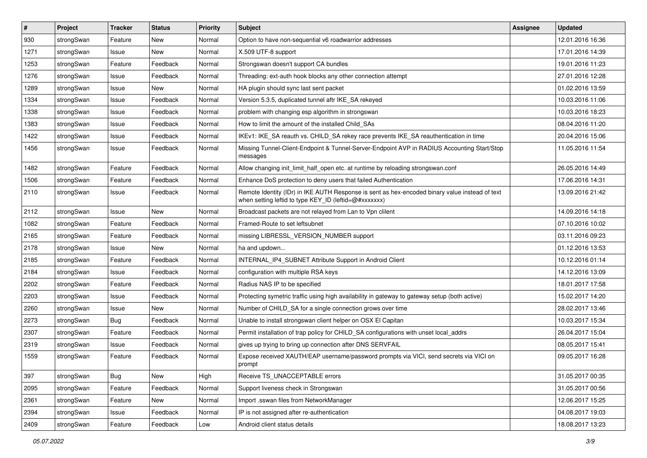| #    | Project    | <b>Tracker</b> | <b>Status</b> | <b>Priority</b> | <b>Subject</b>                                                                                                                                          | <b>Assignee</b> | <b>Updated</b>   |
|------|------------|----------------|---------------|-----------------|---------------------------------------------------------------------------------------------------------------------------------------------------------|-----------------|------------------|
| 930  | strongSwan | Feature        | New           | Normal          | Option to have non-sequential v6 roadwarrior addresses                                                                                                  |                 | 12.01.2016 16:36 |
| 1271 | strongSwan | Issue          | <b>New</b>    | Normal          | X.509 UTF-8 support                                                                                                                                     |                 | 17.01.2016 14:39 |
| 1253 | strongSwan | Feature        | Feedback      | Normal          | Strongswan doesn't support CA bundles                                                                                                                   |                 | 19.01.2016 11:23 |
| 1276 | strongSwan | Issue          | Feedback      | Normal          | Threading: ext-auth hook blocks any other connection attempt                                                                                            |                 | 27.01.2016 12:28 |
| 1289 | strongSwan | Issue          | New           | Normal          | HA plugin should sync last sent packet                                                                                                                  |                 | 01.02.2016 13:59 |
| 1334 | strongSwan | Issue          | Feedback      | Normal          | Version 5.3.5, duplicated tunnel aftr IKE SA rekeyed                                                                                                    |                 | 10.03.2016 11:06 |
| 1338 | strongSwan | Issue          | Feedback      | Normal          | problem with changing esp algorithm in strongswan                                                                                                       |                 | 10.03.2016 18:23 |
| 1383 | strongSwan | Issue          | Feedback      | Normal          | How to limit the amount of the installed Child_SAs                                                                                                      |                 | 08.04.2016 11:20 |
| 1422 | strongSwan | Issue          | Feedback      | Normal          | IKEv1: IKE_SA reauth vs. CHILD_SA rekey race prevents IKE_SA reauthentication in time                                                                   |                 | 20.04.2016 15:06 |
| 1456 | strongSwan | Issue          | Feedback      | Normal          | Missing Tunnel-Client-Endpoint & Tunnel-Server-Endpoint AVP in RADIUS Accounting Start/Stop<br>messages                                                 |                 | 11.05.2016 11:54 |
| 1482 | strongSwan | Feature        | Feedback      | Normal          | Allow changing init limit half open etc. at runtime by reloading strongswan.conf                                                                        |                 | 26.05.2016 14:49 |
| 1506 | strongSwan | Feature        | Feedback      | Normal          | Enhance DoS protection to deny users that failed Authentication                                                                                         |                 | 17.06.2016 14:31 |
| 2110 | strongSwan | Issue          | Feedback      | Normal          | Remote Identity (IDr) in IKE AUTH Response is sent as hex-encoded binary value instead of text<br>when setting leftid to type KEY_ID (leftid=@#xxxxxxx) |                 | 13.09.2016 21:42 |
| 2112 | strongSwan | Issue          | New           | Normal          | Broadcast packets are not relayed from Lan to Vpn clilent                                                                                               |                 | 14.09.2016 14:18 |
| 1082 | strongSwan | Feature        | Feedback      | Normal          | Framed-Route to set leftsubnet                                                                                                                          |                 | 07.10.2016 10:02 |
| 2165 | strongSwan | Feature        | Feedback      | Normal          | missing LIBRESSL_VERSION_NUMBER support                                                                                                                 |                 | 03.11.2016 09:23 |
| 2178 | strongSwan | Issue          | New           | Normal          | ha and updown                                                                                                                                           |                 | 01.12.2016 13:53 |
| 2185 | strongSwan | Feature        | Feedback      | Normal          | INTERNAL_IP4_SUBNET Attribute Support in Android Client                                                                                                 |                 | 10.12.2016 01:14 |
| 2184 | strongSwan | Issue          | Feedback      | Normal          | configuration with multiple RSA keys                                                                                                                    |                 | 14.12.2016 13:09 |
| 2202 | strongSwan | Feature        | Feedback      | Normal          | Radius NAS IP to be specified                                                                                                                           |                 | 18.01.2017 17:58 |
| 2203 | strongSwan | Issue          | Feedback      | Normal          | Protecting symetric traffic using high availability in gateway to gateway setup (both active)                                                           |                 | 15.02.2017 14:20 |
| 2260 | strongSwan | Issue          | New           | Normal          | Number of CHILD_SA for a single connection grows over time                                                                                              |                 | 28.02.2017 13:46 |
| 2273 | strongSwan | Bug            | Feedback      | Normal          | Unable to install strongswan client helper on OSX El Capitan                                                                                            |                 | 10.03.2017 15:34 |
| 2307 | strongSwan | Feature        | Feedback      | Normal          | Permit installation of trap policy for CHILD_SA configurations with unset local_addrs                                                                   |                 | 26.04.2017 15:04 |
| 2319 | strongSwan | Issue          | Feedback      | Normal          | gives up trying to bring up connection after DNS SERVFAIL                                                                                               |                 | 08.05.2017 15:41 |
| 1559 | strongSwan | Feature        | Feedback      | Normal          | Expose received XAUTH/EAP username/password prompts via VICI, send secrets via VICI on<br>prompt                                                        |                 | 09.05.2017 16:28 |
| 397  | strongSwan | Bug            | New           | High            | Receive TS_UNACCEPTABLE errors                                                                                                                          |                 | 31.05.2017 00:35 |
| 2095 | strongSwan | Feature        | Feedback      | Normal          | Support liveness check in Strongswan                                                                                                                    |                 | 31.05.2017 00:56 |
| 2361 | strongSwan | Feature        | New           | Normal          | Import .sswan files from NetworkManager                                                                                                                 |                 | 12.06.2017 15:25 |
| 2394 | strongSwan | Issue          | Feedback      | Normal          | IP is not assigned after re-authentication                                                                                                              |                 | 04.08.2017 19:03 |
| 2409 | strongSwan | Feature        | Feedback      | Low             | Android client status details                                                                                                                           |                 | 18.08.2017 13:23 |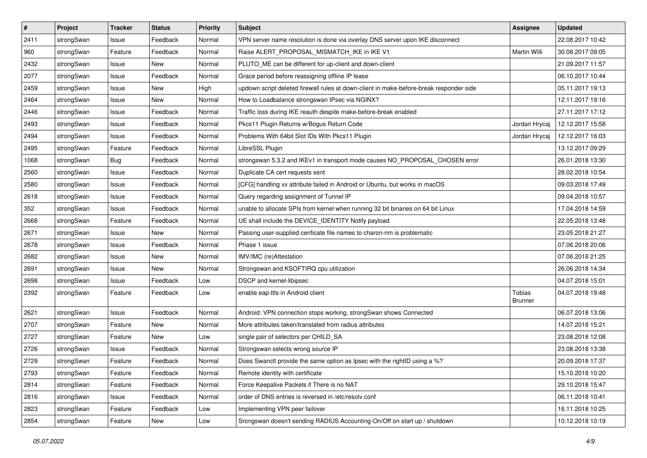| $\sharp$ | Project    | <b>Tracker</b> | <b>Status</b> | <b>Priority</b> | <b>Subject</b>                                                                          | Assignee                 | <b>Updated</b>   |
|----------|------------|----------------|---------------|-----------------|-----------------------------------------------------------------------------------------|--------------------------|------------------|
| 2411     | strongSwan | Issue          | Feedback      | Normal          | VPN server name resolution is done via overlay DNS server upon IKE disconnect           |                          | 22.08.2017 10:42 |
| 960      | strongSwan | Feature        | Feedback      | Normal          | Raise ALERT_PROPOSAL_MISMATCH_IKE in IKE V1                                             | Martin Willi             | 30.08.2017 09:05 |
| 2432     | strongSwan | Issue          | New           | Normal          | PLUTO ME can be different for up-client and down-client                                 |                          | 21.09.2017 11:57 |
| 2077     | strongSwan | Issue          | Feedback      | Normal          | Grace period before reassigning offline IP lease                                        |                          | 06.10.2017 10:44 |
| 2459     | strongSwan | Issue          | <b>New</b>    | High            | updown script deleted firewall rules at down-client in make-before-break responder side |                          | 05.11.2017 19:13 |
| 2464     | strongSwan | Issue          | New           | Normal          | How to Loadbalance strongswan IPsec via NGINX?                                          |                          | 12.11.2017 19:16 |
| 2446     | strongSwan | Issue          | Feedback      | Normal          | Traffic loss during IKE reauth despite make-before-break enabled                        |                          | 27.11.2017 17:12 |
| 2493     | strongSwan | Issue          | Feedback      | Normal          | Pkcs11 Plugin Returns w/Bogus Return Code                                               | Jordan Hrycaj            | 12.12.2017 15:58 |
| 2494     | strongSwan | Issue          | Feedback      | Normal          | Problems With 64bit Slot IDs With Pkcs11 Plugin                                         | Jordan Hrycaj            | 12.12.2017 16:03 |
| 2495     | strongSwan | Feature        | Feedback      | Normal          | LibreSSL Plugin                                                                         |                          | 13.12.2017 09:29 |
| 1068     | strongSwan | <b>Bug</b>     | Feedback      | Normal          | strongswan 5.3.2 and IKEv1 in transport mode causes NO_PROPOSAL_CHOSEN error            |                          | 26.01.2018 13:30 |
| 2560     | strongSwan | Issue          | Feedback      | Normal          | Duplicate CA cert requests sent                                                         |                          | 28.02.2018 10:54 |
| 2580     | strongSwan | Issue          | Feedback      | Normal          | [CFG] handling xx attribute failed in Android or Ubuntu, but works in macOS             |                          | 09.03.2018 17:49 |
| 2618     | strongSwan | Issue          | Feedback      | Normal          | Query regarding assignment of Tunnel IP                                                 |                          | 09.04.2018 10:57 |
| 352      | strongSwan | Issue          | Feedback      | Normal          | unable to allocate SPIs from kernel when running 32 bit binaries on 64 bit Linux        |                          | 17.04.2018 14:59 |
| 2668     | strongSwan | Feature        | Feedback      | Normal          | UE shall include the DEVICE_IDENTITY Notify payload                                     |                          | 22.05.2018 13:48 |
| 2671     | strongSwan | Issue          | New           | Normal          | Passing user-supplied cerificate file names to charon-nm is problematic                 |                          | 23.05.2018 21:27 |
| 2678     | strongSwan | Issue          | Feedback      | Normal          | Phase 1 issue                                                                           |                          | 07.06.2018 20:06 |
| 2682     | strongSwan | Issue          | New           | Normal          | IMV/IMC (re)Attestation                                                                 |                          | 07.06.2018 21:25 |
| 2691     | strongSwan | Issue          | New           | Normal          | Strongswan and KSOFTIRQ cpu utilization                                                 |                          | 26.06.2018 14:34 |
| 2698     | strongSwan | Issue          | Feedback      | Low             | DSCP and kernel-libipsec                                                                |                          | 04.07.2018 15:01 |
| 2392     | strongSwan | Feature        | Feedback      | Low             | enable eap-ttls in Android client                                                       | Tobias<br><b>Brunner</b> | 04.07.2018 19:48 |
| 2621     | strongSwan | Issue          | Feedback      | Normal          | Android: VPN connection stops working, strongSwan shows Connected                       |                          | 06.07.2018 13:06 |
| 2707     | strongSwan | Feature        | New           | Normal          | More attributes taken/translated from radius attributes                                 |                          | 14.07.2018 15:21 |
| 2727     | strongSwan | Feature        | <b>New</b>    | Low             | single pair of selectors per CHILD_SA                                                   |                          | 23.08.2018 12:08 |
| 2726     | strongSwan | Issue          | Feedback      | Normal          | Strongswan selects wrong source IP                                                      |                          | 23.08.2018 13:38 |
| 2729     | strongSwan | Feature        | Feedback      | Normal          | Does Swanctl provide the same option as Ipsec with the rightID using a %?               |                          | 20.09.2018 17:37 |
| 2793     | strongSwan | Feature        | Feedback      | Normal          | Remote identity with certificate                                                        |                          | 15.10.2018 10:20 |
| 2814     | strongSwan | Feature        | Feedback      | Normal          | Force Keepalive Packets if There is no NAT                                              |                          | 29.10.2018 15:47 |
| 2816     | strongSwan | Issue          | Feedback      | Normal          | order of DNS entries is reversed in /etc/resolv.conf                                    |                          | 06.11.2018 10:41 |
| 2823     | strongSwan | Feature        | Feedback      | Low             | Implementing VPN peer failover                                                          |                          | 16.11.2018 10:25 |
| 2854     | strongSwan | Feature        | New           | Low             | Srongswan doesn't sending RADIUS Accounting-On/Off on start up / shutdown               |                          | 10.12.2018 10:19 |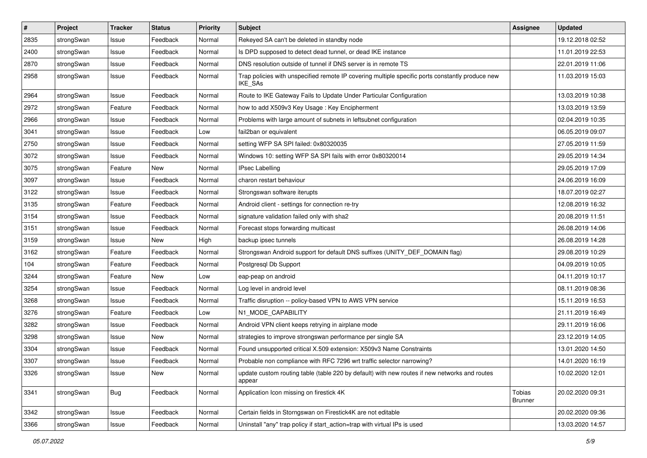| $\vert$ # | Project    | <b>Tracker</b> | <b>Status</b> | <b>Priority</b> | Subject                                                                                                            | <b>Assignee</b>          | <b>Updated</b>   |
|-----------|------------|----------------|---------------|-----------------|--------------------------------------------------------------------------------------------------------------------|--------------------------|------------------|
| 2835      | strongSwan | Issue          | Feedback      | Normal          | Rekeyed SA can't be deleted in standby node                                                                        |                          | 19.12.2018 02:52 |
| 2400      | strongSwan | Issue          | Feedback      | Normal          | Is DPD supposed to detect dead tunnel, or dead IKE instance                                                        |                          | 11.01.2019 22:53 |
| 2870      | strongSwan | Issue          | Feedback      | Normal          | DNS resolution outside of tunnel if DNS server is in remote TS                                                     |                          | 22.01.2019 11:06 |
| 2958      | strongSwan | Issue          | Feedback      | Normal          | Trap policies with unspecified remote IP covering multiple specific ports constantly produce new<br><b>IKE SAs</b> |                          | 11.03.2019 15:03 |
| 2964      | strongSwan | Issue          | Feedback      | Normal          | Route to IKE Gateway Fails to Update Under Particular Configuration                                                |                          | 13.03.2019 10:38 |
| 2972      | strongSwan | Feature        | Feedback      | Normal          | how to add X509v3 Key Usage: Key Encipherment                                                                      |                          | 13.03.2019 13:59 |
| 2966      | strongSwan | Issue          | Feedback      | Normal          | Problems with large amount of subnets in leftsubnet configuration                                                  |                          | 02.04.2019 10:35 |
| 3041      | strongSwan | Issue          | Feedback      | Low             | fail2ban or equivalent                                                                                             |                          | 06.05.2019 09:07 |
| 2750      | strongSwan | Issue          | Feedback      | Normal          | setting WFP SA SPI failed: 0x80320035                                                                              |                          | 27.05.2019 11:59 |
| 3072      | strongSwan | Issue          | Feedback      | Normal          | Windows 10: setting WFP SA SPI fails with error 0x80320014                                                         |                          | 29.05.2019 14:34 |
| 3075      | strongSwan | Feature        | New           | Normal          | <b>IPsec Labelling</b>                                                                                             |                          | 29.05.2019 17:09 |
| 3097      | strongSwan | Issue          | Feedback      | Normal          | charon restart behaviour                                                                                           |                          | 24.06.2019 16:09 |
| 3122      | strongSwan | Issue          | Feedback      | Normal          | Strongswan software iterupts                                                                                       |                          | 18.07.2019 02:27 |
| 3135      | strongSwan | Feature        | Feedback      | Normal          | Android client - settings for connection re-try                                                                    |                          | 12.08.2019 16:32 |
| 3154      | strongSwan | Issue          | Feedback      | Normal          | signature validation failed only with sha2                                                                         |                          | 20.08.2019 11:51 |
| 3151      | strongSwan | Issue          | Feedback      | Normal          | Forecast stops forwarding multicast                                                                                |                          | 26.08.2019 14:06 |
| 3159      | strongSwan | Issue          | New           | High            | backup ipsec tunnels                                                                                               |                          | 26.08.2019 14:28 |
| 3162      | strongSwan | Feature        | Feedback      | Normal          | Strongswan Android support for default DNS suffixes (UNITY_DEF_DOMAIN flag)                                        |                          | 29.08.2019 10:29 |
| 104       | strongSwan | Feature        | Feedback      | Normal          | Postgresql Db Support                                                                                              |                          | 04.09.2019 10:05 |
| 3244      | strongSwan | Feature        | New           | Low             | eap-peap on android                                                                                                |                          | 04.11.2019 10:17 |
| 3254      | strongSwan | Issue          | Feedback      | Normal          | Log level in android level                                                                                         |                          | 08.11.2019 08:36 |
| 3268      | strongSwan | Issue          | Feedback      | Normal          | Traffic disruption -- policy-based VPN to AWS VPN service                                                          |                          | 15.11.2019 16:53 |
| 3276      | strongSwan | Feature        | Feedback      | Low             | N1_MODE_CAPABILITY                                                                                                 |                          | 21.11.2019 16:49 |
| 3282      | strongSwan | Issue          | Feedback      | Normal          | Android VPN client keeps retrying in airplane mode                                                                 |                          | 29.11.2019 16:06 |
| 3298      | strongSwan | Issue          | <b>New</b>    | Normal          | strategies to improve strongswan performance per single SA                                                         |                          | 23.12.2019 14:05 |
| 3304      | strongSwan | Issue          | Feedback      | Normal          | Found unsupported critical X.509 extension: X509v3 Name Constraints                                                |                          | 13.01.2020 14:50 |
| 3307      | strongSwan | Issue          | Feedback      | Normal          | Probable non compliance with RFC 7296 wrt traffic selector narrowing?                                              |                          | 14.01.2020 16:19 |
| 3326      | strongSwan | Issue          | New           | Normal          | update custom routing table (table 220 by default) with new routes if new networks and routes<br>appear            |                          | 10.02.2020 12:01 |
| 3341      | strongSwan | Bug            | Feedback      | Normal          | Application Icon missing on firestick 4K                                                                           | Tobias<br><b>Brunner</b> | 20.02.2020 09:31 |
| 3342      | strongSwan | Issue          | Feedback      | Normal          | Certain fields in Storngswan on Firestick4K are not editable                                                       |                          | 20.02.2020 09:36 |
| 3366      | strongSwan | Issue          | Feedback      | Normal          | Uninstall "any" trap policy if start_action=trap with virtual IPs is used                                          |                          | 13.03.2020 14:57 |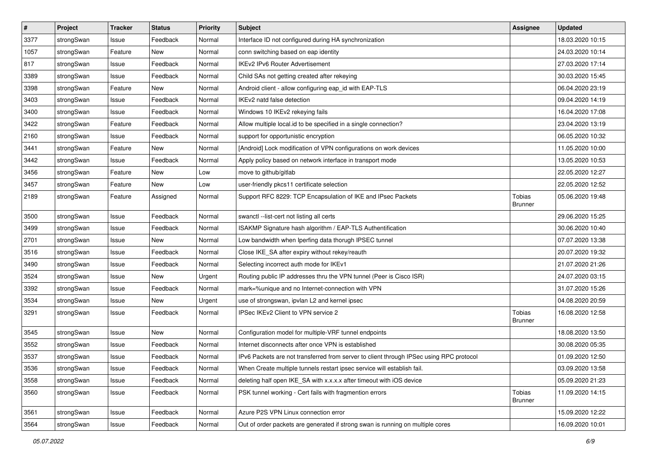| #    | Project    | <b>Tracker</b> | <b>Status</b> | <b>Priority</b> | <b>Subject</b>                                                                          | <b>Assignee</b>          | <b>Updated</b>   |
|------|------------|----------------|---------------|-----------------|-----------------------------------------------------------------------------------------|--------------------------|------------------|
| 3377 | strongSwan | Issue          | Feedback      | Normal          | Interface ID not configured during HA synchronization                                   |                          | 18.03.2020 10:15 |
| 1057 | strongSwan | Feature        | New           | Normal          | conn switching based on eap identity                                                    |                          | 24.03.2020 10:14 |
| 817  | strongSwan | Issue          | Feedback      | Normal          | <b>IKEv2 IPv6 Router Advertisement</b>                                                  |                          | 27.03.2020 17:14 |
| 3389 | strongSwan | Issue          | Feedback      | Normal          | Child SAs not getting created after rekeying                                            |                          | 30.03.2020 15:45 |
| 3398 | strongSwan | Feature        | <b>New</b>    | Normal          | Android client - allow configuring eap_id with EAP-TLS                                  |                          | 06.04.2020 23:19 |
| 3403 | strongSwan | Issue          | Feedback      | Normal          | IKEv2 natd false detection                                                              |                          | 09.04.2020 14:19 |
| 3400 | strongSwan | Issue          | Feedback      | Normal          | Windows 10 IKEv2 rekeying fails                                                         |                          | 16.04.2020 17:08 |
| 3422 | strongSwan | Feature        | Feedback      | Normal          | Allow multiple local id to be specified in a single connection?                         |                          | 23.04.2020 13:19 |
| 2160 | strongSwan | Issue          | Feedback      | Normal          | support for opportunistic encryption                                                    |                          | 06.05.2020 10:32 |
| 3441 | strongSwan | Feature        | New           | Normal          | [Android] Lock modification of VPN configurations on work devices                       |                          | 11.05.2020 10:00 |
| 3442 | strongSwan | Issue          | Feedback      | Normal          | Apply policy based on network interface in transport mode                               |                          | 13.05.2020 10:53 |
| 3456 | strongSwan | Feature        | <b>New</b>    | Low             | move to github/gitlab                                                                   |                          | 22.05.2020 12:27 |
| 3457 | strongSwan | Feature        | New           | Low             | user-friendly pkcs11 certificate selection                                              |                          | 22.05.2020 12:52 |
| 2189 | strongSwan | Feature        | Assigned      | Normal          | Support RFC 8229: TCP Encapsulation of IKE and IPsec Packets                            | Tobias<br><b>Brunner</b> | 05.06.2020 19:48 |
| 3500 | strongSwan | Issue          | Feedback      | Normal          | swanctl --list-cert not listing all certs                                               |                          | 29.06.2020 15:25 |
| 3499 | strongSwan | Issue          | Feedback      | Normal          | ISAKMP Signature hash algorithm / EAP-TLS Authentification                              |                          | 30.06.2020 10:40 |
| 2701 | strongSwan | Issue          | <b>New</b>    | Normal          | Low bandwidth when Iperfing data thorugh IPSEC tunnel                                   |                          | 07.07.2020 13:38 |
| 3516 | strongSwan | Issue          | Feedback      | Normal          | Close IKE_SA after expiry without rekey/reauth                                          |                          | 20.07.2020 19:32 |
| 3490 | strongSwan | Issue          | Feedback      | Normal          | Selecting incorrect auth mode for IKEv1                                                 |                          | 21.07.2020 21:26 |
| 3524 | strongSwan | Issue          | New           | Urgent          | Routing public IP addresses thru the VPN tunnel (Peer is Cisco ISR)                     |                          | 24.07.2020 03:15 |
| 3392 | strongSwan | Issue          | Feedback      | Normal          | mark=%unique and no Internet-connection with VPN                                        |                          | 31.07.2020 15:26 |
| 3534 | strongSwan | Issue          | <b>New</b>    | Urgent          | use of strongswan, ipvlan L2 and kernel ipsec                                           |                          | 04.08.2020 20:59 |
| 3291 | strongSwan | Issue          | Feedback      | Normal          | IPSec IKEv2 Client to VPN service 2                                                     | Tobias<br><b>Brunner</b> | 16.08.2020 12:58 |
| 3545 | strongSwan | Issue          | <b>New</b>    | Normal          | Configuration model for multiple-VRF tunnel endpoints                                   |                          | 18.08.2020 13:50 |
| 3552 | strongSwan | Issue          | Feedback      | Normal          | Internet disconnects after once VPN is established                                      |                          | 30.08.2020 05:35 |
| 3537 | strongSwan | Issue          | Feedback      | Normal          | IPv6 Packets are not transferred from server to client through IPSec using RPC protocol |                          | 01.09.2020 12:50 |
| 3536 | strongSwan | Issue          | Feedback      | Normal          | When Create multiple tunnels restart ipsec service will establish fail.                 |                          | 03.09.2020 13:58 |
| 3558 | strongSwan | Issue          | Feedback      | Normal          | deleting half open IKE_SA with x.x.x.x after timeout with iOS device                    |                          | 05.09.2020 21:23 |
| 3560 | strongSwan | Issue          | Feedback      | Normal          | PSK tunnel working - Cert fails with fragmention errors                                 | Tobias<br><b>Brunner</b> | 11.09.2020 14:15 |
| 3561 | strongSwan | Issue          | Feedback      | Normal          | Azure P2S VPN Linux connection error                                                    |                          | 15.09.2020 12:22 |
| 3564 | strongSwan | Issue          | Feedback      | Normal          | Out of order packets are generated if strong swan is running on multiple cores          |                          | 16.09.2020 10:01 |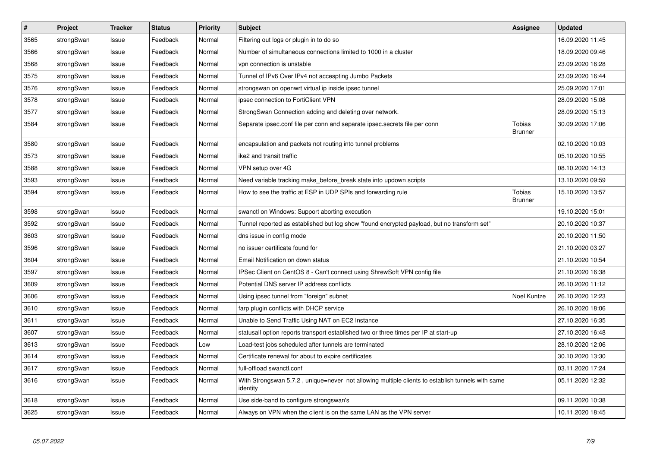| $\vert$ # | Project    | <b>Tracker</b> | <b>Status</b> | <b>Priority</b> | <b>Subject</b>                                                                                               | Assignee                 | <b>Updated</b>   |
|-----------|------------|----------------|---------------|-----------------|--------------------------------------------------------------------------------------------------------------|--------------------------|------------------|
| 3565      | strongSwan | Issue          | Feedback      | Normal          | Filtering out logs or plugin in to do so                                                                     |                          | 16.09.2020 11:45 |
| 3566      | strongSwan | Issue          | Feedback      | Normal          | Number of simultaneous connections limited to 1000 in a cluster                                              |                          | 18.09.2020 09:46 |
| 3568      | strongSwan | Issue          | Feedback      | Normal          | vpn connection is unstable                                                                                   |                          | 23.09.2020 16:28 |
| 3575      | strongSwan | Issue          | Feedback      | Normal          | Tunnel of IPv6 Over IPv4 not accespting Jumbo Packets                                                        |                          | 23.09.2020 16:44 |
| 3576      | strongSwan | Issue          | Feedback      | Normal          | strongswan on openwrt virtual ip inside ipsec tunnel                                                         |                          | 25.09.2020 17:01 |
| 3578      | strongSwan | Issue          | Feedback      | Normal          | ipsec connection to FortiClient VPN                                                                          |                          | 28.09.2020 15:08 |
| 3577      | strongSwan | Issue          | Feedback      | Normal          | StrongSwan Connection adding and deleting over network.                                                      |                          | 28.09.2020 15:13 |
| 3584      | strongSwan | Issue          | Feedback      | Normal          | Separate ipsec.conf file per conn and separate ipsec.secrets file per conn                                   | Tobias<br><b>Brunner</b> | 30.09.2020 17:06 |
| 3580      | strongSwan | Issue          | Feedback      | Normal          | encapsulation and packets not routing into tunnel problems                                                   |                          | 02.10.2020 10:03 |
| 3573      | strongSwan | Issue          | Feedback      | Normal          | ike2 and transit traffic                                                                                     |                          | 05.10.2020 10:55 |
| 3588      | strongSwan | Issue          | Feedback      | Normal          | VPN setup over 4G                                                                                            |                          | 08.10.2020 14:13 |
| 3593      | strongSwan | Issue          | Feedback      | Normal          | Need variable tracking make before break state into updown scripts                                           |                          | 13.10.2020 09:59 |
| 3594      | strongSwan | Issue          | Feedback      | Normal          | How to see the traffic at ESP in UDP SPIs and forwarding rule                                                | Tobias<br><b>Brunner</b> | 15.10.2020 13:57 |
| 3598      | strongSwan | Issue          | Feedback      | Normal          | swanctl on Windows: Support aborting execution                                                               |                          | 19.10.2020 15:01 |
| 3592      | strongSwan | Issue          | Feedback      | Normal          | Tunnel reported as established but log show "found encrypted payload, but no transform set"                  |                          | 20.10.2020 10:37 |
| 3603      | strongSwan | Issue          | Feedback      | Normal          | dns issue in config mode                                                                                     |                          | 20.10.2020 11:50 |
| 3596      | strongSwan | Issue          | Feedback      | Normal          | no issuer certificate found for                                                                              |                          | 21.10.2020 03:27 |
| 3604      | strongSwan | Issue          | Feedback      | Normal          | Email Notification on down status                                                                            |                          | 21.10.2020 10:54 |
| 3597      | strongSwan | Issue          | Feedback      | Normal          | IPSec Client on CentOS 8 - Can't connect using ShrewSoft VPN config file                                     |                          | 21.10.2020 16:38 |
| 3609      | strongSwan | Issue          | Feedback      | Normal          | Potential DNS server IP address conflicts                                                                    |                          | 26.10.2020 11:12 |
| 3606      | strongSwan | Issue          | Feedback      | Normal          | Using ipsec tunnel from "foreign" subnet                                                                     | Noel Kuntze              | 26.10.2020 12:23 |
| 3610      | strongSwan | Issue          | Feedback      | Normal          | farp plugin conflicts with DHCP service                                                                      |                          | 26.10.2020 18:06 |
| 3611      | strongSwan | Issue          | Feedback      | Normal          | Unable to Send Traffic Using NAT on EC2 Instance                                                             |                          | 27.10.2020 16:35 |
| 3607      | strongSwan | Issue          | Feedback      | Normal          | statusall option reports transport established two or three times per IP at start-up                         |                          | 27.10.2020 16:48 |
| 3613      | strongSwan | Issue          | Feedback      | Low             | Load-test jobs scheduled after tunnels are terminated                                                        |                          | 28.10.2020 12:06 |
| 3614      | strongSwan | Issue          | Feedback      | Normal          | Certificate renewal for about to expire certificates                                                         |                          | 30.10.2020 13:30 |
| 3617      | strongSwan | Issue          | Feedback      | Normal          | full-offload swanctl.conf                                                                                    |                          | 03.11.2020 17:24 |
| 3616      | strongSwan | Issue          | Feedback      | Normal          | With Strongswan 5.7.2, unique=never not allowing multiple clients to establish tunnels with same<br>identity |                          | 05.11.2020 12:32 |
| 3618      | strongSwan | Issue          | Feedback      | Normal          | Use side-band to configure strongswan's                                                                      |                          | 09.11.2020 10:38 |
| 3625      | strongSwan | Issue          | Feedback      | Normal          | Always on VPN when the client is on the same LAN as the VPN server                                           |                          | 10.11.2020 18:45 |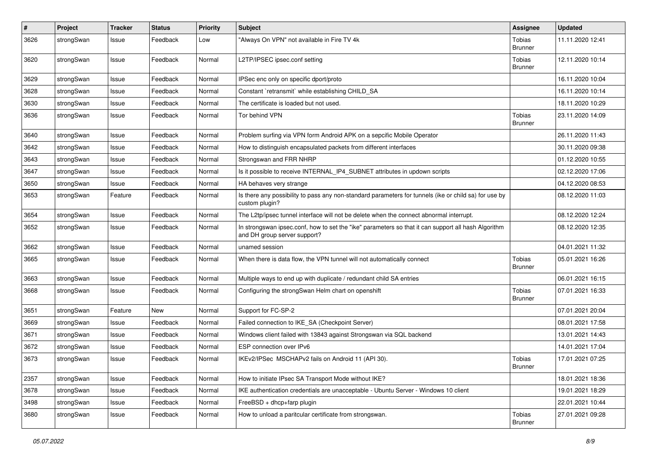| $\pmb{\#}$ | Project    | <b>Tracker</b> | <b>Status</b> | Priority | <b>Subject</b>                                                                                                                      | Assignee                 | <b>Updated</b>   |
|------------|------------|----------------|---------------|----------|-------------------------------------------------------------------------------------------------------------------------------------|--------------------------|------------------|
| 3626       | strongSwan | Issue          | Feedback      | Low      | "Always On VPN" not available in Fire TV 4k                                                                                         | Tobias<br><b>Brunner</b> | 11.11.2020 12:41 |
| 3620       | strongSwan | Issue          | Feedback      | Normal   | L2TP/IPSEC ipsec.conf setting                                                                                                       | Tobias<br><b>Brunner</b> | 12.11.2020 10:14 |
| 3629       | strongSwan | Issue          | Feedback      | Normal   | IPSec enc only on specific dport/proto                                                                                              |                          | 16.11.2020 10:04 |
| 3628       | strongSwan | Issue          | Feedback      | Normal   | Constant `retransmit` while establishing CHILD SA                                                                                   |                          | 16.11.2020 10:14 |
| 3630       | strongSwan | Issue          | Feedback      | Normal   | The certificate is loaded but not used.                                                                                             |                          | 18.11.2020 10:29 |
| 3636       | strongSwan | Issue          | Feedback      | Normal   | Tor behind VPN                                                                                                                      | Tobias<br><b>Brunner</b> | 23.11.2020 14:09 |
| 3640       | strongSwan | Issue          | Feedback      | Normal   | Problem surfing via VPN form Android APK on a sepcific Mobile Operator                                                              |                          | 26.11.2020 11:43 |
| 3642       | strongSwan | Issue          | Feedback      | Normal   | How to distinguish encapsulated packets from different interfaces                                                                   |                          | 30.11.2020 09:38 |
| 3643       | strongSwan | Issue          | Feedback      | Normal   | Strongswan and FRR NHRP                                                                                                             |                          | 01.12.2020 10:55 |
| 3647       | strongSwan | Issue          | Feedback      | Normal   | Is it possible to receive INTERNAL IP4 SUBNET attributes in updown scripts                                                          |                          | 02.12.2020 17:06 |
| 3650       | strongSwan | Issue          | Feedback      | Normal   | HA behaves very strange                                                                                                             |                          | 04.12.2020 08:53 |
| 3653       | strongSwan | Feature        | Feedback      | Normal   | Is there any possibility to pass any non-standard parameters for tunnels (ike or child sa) for use by<br>custom plugin?             |                          | 08.12.2020 11:03 |
| 3654       | strongSwan | Issue          | Feedback      | Normal   | The L2tp/ipsec tunnel interface will not be delete when the connect abnormal interrupt.                                             |                          | 08.12.2020 12:24 |
| 3652       | strongSwan | Issue          | Feedback      | Normal   | In strongswan ipsec.conf, how to set the "ike" parameters so that it can support all hash Algorithm<br>and DH group server support? |                          | 08.12.2020 12:35 |
| 3662       | strongSwan | Issue          | Feedback      | Normal   | unamed session                                                                                                                      |                          | 04.01.2021 11:32 |
| 3665       | strongSwan | Issue          | Feedback      | Normal   | When there is data flow, the VPN tunnel will not automatically connect                                                              | Tobias<br><b>Brunner</b> | 05.01.2021 16:26 |
| 3663       | strongSwan | Issue          | Feedback      | Normal   | Multiple ways to end up with duplicate / redundant child SA entries                                                                 |                          | 06.01.2021 16:15 |
| 3668       | strongSwan | Issue          | Feedback      | Normal   | Configuring the strongSwan Helm chart on openshift                                                                                  | Tobias<br><b>Brunner</b> | 07.01.2021 16:33 |
| 3651       | strongSwan | Feature        | <b>New</b>    | Normal   | Support for FC-SP-2                                                                                                                 |                          | 07.01.2021 20:04 |
| 3669       | strongSwan | Issue          | Feedback      | Normal   | Failed connection to IKE SA (Checkpoint Server)                                                                                     |                          | 08.01.2021 17:58 |
| 3671       | strongSwan | Issue          | Feedback      | Normal   | Windows client failed with 13843 against Strongswan via SQL backend                                                                 |                          | 13.01.2021 14:43 |
| 3672       | strongSwan | Issue          | Feedback      | Normal   | ESP connection over IPv6                                                                                                            |                          | 14.01.2021 17:04 |
| 3673       | strongSwan | Issue          | Feedback      | Normal   | IKEv2/IPSec MSCHAPv2 fails on Android 11 (API 30).                                                                                  | Tobias<br><b>Brunner</b> | 17.01.2021 07:25 |
| 2357       | strongSwan | Issue          | Feedback      | Normal   | How to initiate IPsec SA Transport Mode without IKE?                                                                                |                          | 18.01.2021 18:36 |
| 3678       | strongSwan | Issue          | Feedback      | Normal   | IKE authentication credentials are unacceptable - Ubuntu Server - Windows 10 client                                                 |                          | 19.01.2021 18:29 |
| 3498       | strongSwan | Issue          | Feedback      | Normal   | FreeBSD + dhcp+farp plugin                                                                                                          |                          | 22.01.2021 10:44 |
| 3680       | strongSwan | Issue          | Feedback      | Normal   | How to unload a paritcular certificate from strongswan.                                                                             | Tobias<br><b>Brunner</b> | 27.01.2021 09:28 |